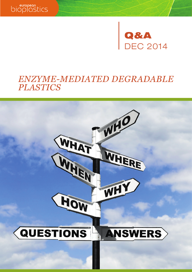



# *ENZYME-MEDIATED DEGRADABLE PLASTICS*